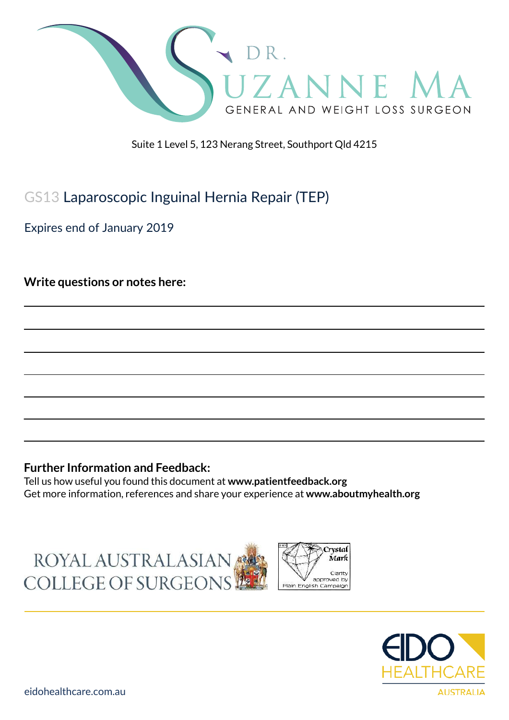

Suite 1 Level 5, 123 Nerang Street, Southport Qld 4215

## GS13 Laparoscopic Inguinal Hernia Repair (TEP)

Expires end of January 2019

**Write questions or notes here:**

### **Further Information and Feedback:**

Tell us how useful you found this document at **www.patientfeedback.org** Get more information, references and share your experience at **www.aboutmyhealth.org**

ROYAL AUSTRALASIAN COLLEGE OF SURGEONS



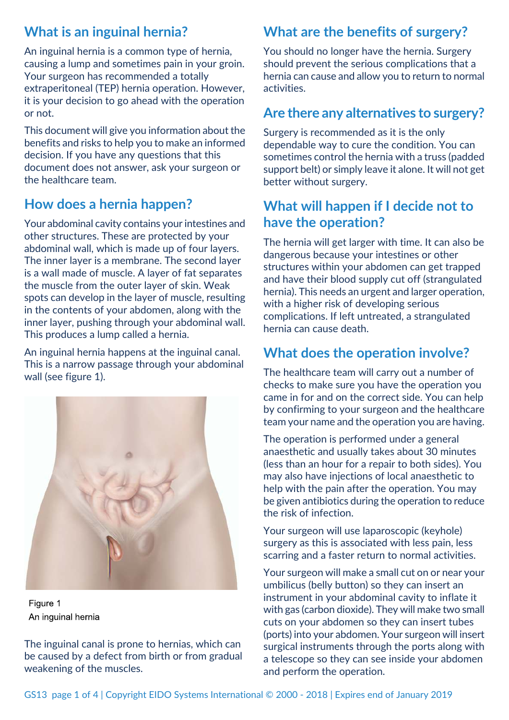## **What is an inguinal hernia?**

An inguinal hernia is a common type of hernia, causing a lump and sometimes pain in your groin. Your surgeon has recommended a totally extraperitoneal (TEP) hernia operation. However, it is your decision to go ahead with the operation or not.

This document will give you information about the benefits and risks to help you to make an informed decision. If you have any questions that this document does not answer, ask your surgeon or the healthcare team.

## **How does a hernia happen?**

Your abdominal cavity contains your intestines and other structures. These are protected by your abdominal wall, which is made up of four layers. The inner layer is a membrane. The second layer is a wall made of muscle. A layer of fat separates the muscle from the outer layer of skin. Weak spots can develop in the layer of muscle, resulting in the contents of your abdomen, along with the inner layer, pushing through your abdominal wall. This produces a lump called a hernia.

An inguinal hernia happens at the inguinal canal. This is a narrow passage through your abdominal wall (see figure 1).



Figure 1 An inquinal hernia

The inguinal canal is prone to hernias, which can be caused by a defect from birth or from gradual weakening of the muscles.

# **What are the benefits of surgery?**

You should no longer have the hernia. Surgery should prevent the serious complications that a hernia can cause and allow you to return to normal activities.

## **Are there any alternatives to surgery?**

Surgery is recommended as it is the only dependable way to cure the condition. You can sometimes control the hernia with a truss (padded support belt) or simply leave it alone. It will not get better without surgery.

## **What will happen if I decide not to have the operation?**

The hernia will get larger with time. It can also be dangerous because your intestines or other structures within your abdomen can get trapped and have their blood supply cut off (strangulated hernia). This needs an urgent and larger operation, with a higher risk of developing serious complications. If left untreated, a strangulated hernia can cause death.

## **What does the operation involve?**

The healthcare team will carry out a number of checks to make sure you have the operation you came in for and on the correct side. You can help by confirming to your surgeon and the healthcare team your name and the operation you are having.

The operation is performed under a general anaesthetic and usually takes about 30 minutes (less than an hour for a repair to both sides). You may also have injections of local anaesthetic to help with the pain after the operation. You may be given antibiotics during the operation to reduce the risk of infection.

Your surgeon will use laparoscopic (keyhole) surgery as this is associated with less pain, less scarring and a faster return to normal activities.

Your surgeon will make a small cut on or near your umbilicus (belly button) so they can insert an instrument in your abdominal cavity to inflate it with gas (carbon dioxide). They will make two small cuts on your abdomen so they can insert tubes (ports) into your abdomen. Your surgeon will insert surgical instruments through the ports along with a telescope so they can see inside your abdomen and perform the operation.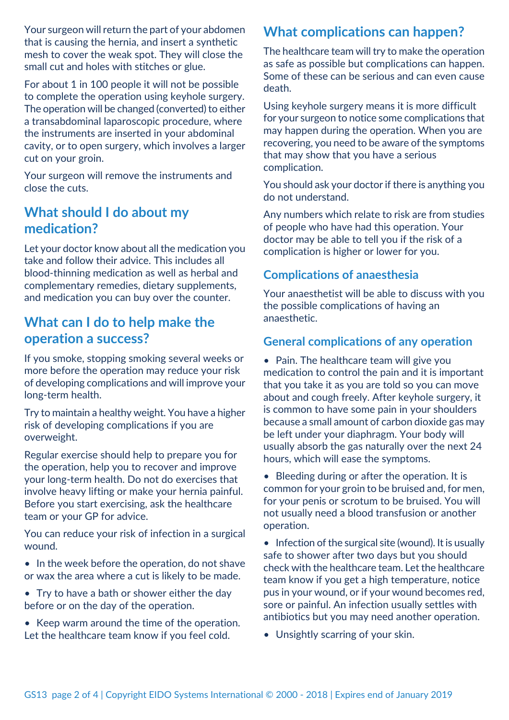Your surgeon will return the part of your abdomen that is causing the hernia, and insert a synthetic mesh to cover the weak spot. They will close the small cut and holes with stitches or glue.

For about 1 in 100 people it will not be possible to complete the operation using keyhole surgery. The operation will be changed (converted) to either a transabdominal laparoscopic procedure, where the instruments are inserted in your abdominal cavity, or to open surgery, which involves a larger cut on your groin.

Your surgeon will remove the instruments and close the cuts.

### **What should I do about my medication?**

Let your doctor know about all the medication you take and follow their advice. This includes all blood-thinning medication as well as herbal and complementary remedies, dietary supplements, and medication you can buy over the counter.

## **What can I do to help make the operation a success?**

If you smoke, stopping smoking several weeks or more before the operation may reduce your risk of developing complications and will improve your long-term health.

Try to maintain a healthy weight. You have a higher risk of developing complications if you are overweight.

Regular exercise should help to prepare you for the operation, help you to recover and improve your long-term health. Do not do exercises that involve heavy lifting or make your hernia painful. Before you start exercising, ask the healthcare team or your GP for advice.

You can reduce your risk of infection in a surgical wound.

- In the week before the operation, do not shave or wax the area where a cut is likely to be made.
- Try to have a bath or shower either the day before or on the day of the operation.
- Keep warm around the time of the operation. Let the healthcare team know if you feel cold.

## **What complications can happen?**

The healthcare team will try to make the operation as safe as possible but complications can happen. Some of these can be serious and can even cause death.

Using keyhole surgery means it is more difficult for your surgeon to notice some complications that may happen during the operation. When you are recovering, you need to be aware of the symptoms that may show that you have a serious complication.

You should ask your doctor if there is anything you do not understand.

Any numbers which relate to risk are from studies of people who have had this operation. Your doctor may be able to tell you if the risk of a complication is higher or lower for you.

### **Complications of anaesthesia**

Your anaesthetist will be able to discuss with you the possible complications of having an anaesthetic.

### **General complications of any operation**

• Pain. The healthcare team will give you medication to control the pain and it is important that you take it as you are told so you can move about and cough freely. After keyhole surgery, it is common to have some pain in your shoulders because a small amount of carbon dioxide gas may be left under your diaphragm. Your body will usually absorb the gas naturally over the next 24 hours, which will ease the symptoms.

• Bleeding during or after the operation. It is common for your groin to be bruised and, for men, for your penis or scrotum to be bruised. You will not usually need a blood transfusion or another operation.

• Infection of the surgical site (wound). It is usually safe to shower after two days but you should check with the healthcare team. Let the healthcare team know if you get a high temperature, notice pus in your wound, or if your wound becomes red, sore or painful. An infection usually settles with antibiotics but you may need another operation.

• Unsightly scarring of your skin.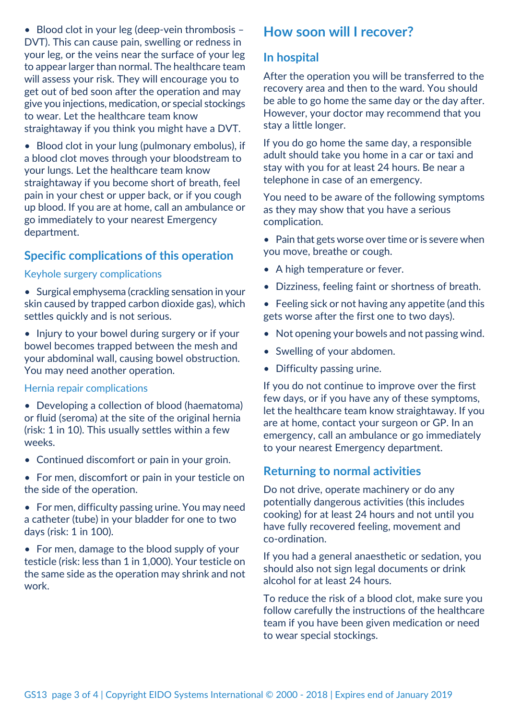• Blood clot in your leg (deep-vein thrombosis -DVT). This can cause pain, swelling or redness in your leg, or the veins near the surface of your leg to appear larger than normal. The healthcare team will assess your risk. They will encourage you to get out of bed soon after the operation and may give you injections, medication, or special stockings to wear. Let the healthcare team know straightaway if you think you might have a DVT.

• Blood clot in your lung (pulmonary embolus), if a blood clot moves through your bloodstream to your lungs. Let the healthcare team know straightaway if you become short of breath, feel pain in your chest or upper back, or if you cough up blood. If you are at home, call an ambulance or go immediately to your nearest Emergency department.

### **Specific complications of this operation**

#### Keyhole surgery complications

- Surgical emphysema (crackling sensation in your skin caused by trapped carbon dioxide gas), which settles quickly and is not serious.
- Injury to your bowel during surgery or if your bowel becomes trapped between the mesh and your abdominal wall, causing bowel obstruction. You may need another operation.

#### Hernia repair complications

- Developing a collection of blood (haematoma) or fluid (seroma) at the site of the original hernia (risk: 1 in 10). This usually settles within a few weeks.
- Continued discomfort or pain in your groin.
- For men, discomfort or pain in your testicle on the side of the operation.
- For men, difficulty passing urine. You may need a catheter (tube) in your bladder for one to two days (risk: 1 in 100).
- For men, damage to the blood supply of your testicle (risk: less than 1 in 1,000). Your testicle on the same side as the operation may shrink and not work.

### **How soon will I recover?**

### **In hospital**

After the operation you will be transferred to the recovery area and then to the ward. You should be able to go home the same day or the day after. However, your doctor may recommend that you stay a little longer.

If you do go home the same day, a responsible adult should take you home in a car or taxi and stay with you for at least 24 hours. Be near a telephone in case of an emergency.

You need to be aware of the following symptoms as they may show that you have a serious complication.

- Pain that gets worse over time or is severe when you move, breathe or cough.
- A high temperature or fever.
- Dizziness, feeling faint or shortness of breath.
- Feeling sick or not having any appetite (and this gets worse after the first one to two days).
- Not opening your bowels and not passing wind.
- Swelling of your abdomen.
- Difficulty passing urine.

If you do not continue to improve over the first few days, or if you have any of these symptoms, let the healthcare team know straightaway. If you are at home, contact your surgeon or GP. In an emergency, call an ambulance or go immediately to your nearest Emergency department.

### **Returning to normal activities**

Do not drive, operate machinery or do any potentially dangerous activities (this includes cooking) for at least 24 hours and not until you have fully recovered feeling, movement and co-ordination.

If you had a general anaesthetic or sedation, you should also not sign legal documents or drink alcohol for at least 24 hours.

To reduce the risk of a blood clot, make sure you follow carefully the instructions of the healthcare team if you have been given medication or need to wear special stockings.